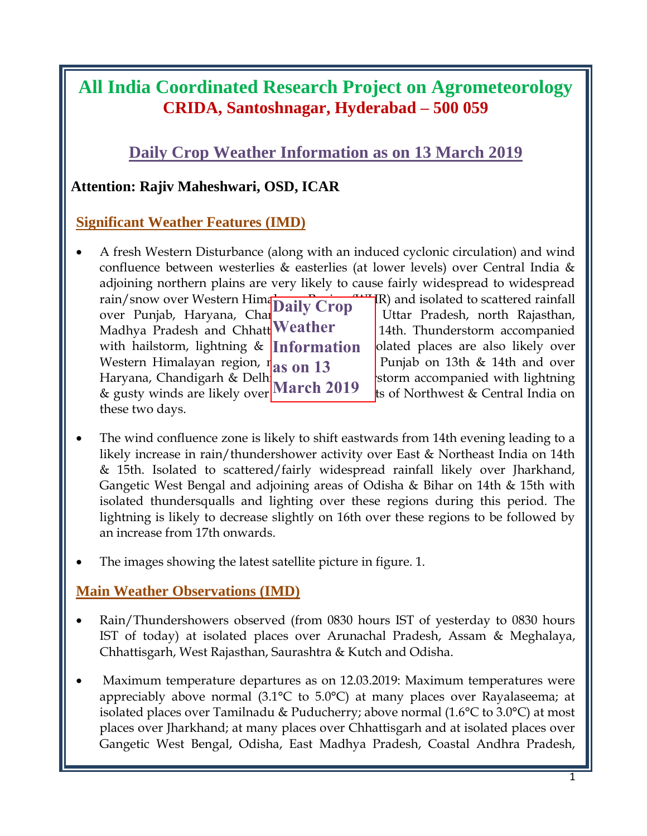# **All India Coordinated Research Project on Agrometeorology CRIDA, Santoshnagar, Hyderabad – 500 059**

## **Daily Crop Weather Information as on 13 March 2019**

## **Attention: Rajiv Maheshwari, OSD, ICAR**

## **Significant Weather Features (IMD)**

- A fresh Western Disturbance (along with an induced cyclonic circulation) and wind confluence between westerlies & easterlies (at lower levels) over Central India & adjoining northern plains are very likely to cause fairly widespread to widespread rain/snow over Western Himalayan  $\Gamma$ R) and isolated to scattered rainfall over Punjab, Haryana, Chan<sup>digarh</sup> <sup>Crop</sup> Uttar Pradesh, north Rajasthan, Madhya Pradesh and Chhatt<sup>Weather</sup> 14th. Thunderstorm accompanied with hailstorm, lightning & **Information olated places are also likely over** Western Himalayan region, r**and Rajasthan Benedict Punjab on 13th & 14th and over** *Region* Rajasthan Benedict Rajasthan Benedict Rajasthan Benedict Rajasthan Benedict Rajasthan Benedict Rajasthan Benedict Rajasthan Benedi Haryana, Chandigarh & Delh $\int$  on 14th and 14th accompanied with lightning **Examplement Strandgerful areas of Strandgerful and remaining the remaining of Northwest & Central India on** these two days. How West Western Himmet Daily Crop Water School of the Uniter Pradesh, noth Rajashan, Nadhya Pradesh Noth Najashan, Shally Western accompanied Western accompanied Western Himalayan region, as on 13 Pradigion of Hangyana, C
- The wind confluence zone is likely to shift eastwards from 14th evening leading to a likely increase in rain/thundershower activity over East & Northeast India on 14th & 15th. Isolated to scattered/fairly widespread rainfall likely over Jharkhand, Gangetic West Bengal and adjoining areas of Odisha & Bihar on 14th & 15th with isolated thundersqualls and lighting over these regions during this period. The lightning is likely to decrease slightly on 16th over these regions to be followed by an increase from 17th onwards.
- The images showing the latest satellite picture in figure. 1.

## **Main Weather Observations (IMD)**

- Rain/Thundershowers observed (from 0830 hours IST of yesterday to 0830 hours IST of today) at isolated places over Arunachal Pradesh, Assam & Meghalaya, Chhattisgarh, West Rajasthan, Saurashtra & Kutch and Odisha.
- Maximum temperature departures as on 12.03.2019: Maximum temperatures were appreciably above normal (3.1°C to 5.0°C) at many places over Rayalaseema; at isolated places over Tamilnadu & Puducherry; above normal (1.6°C to 3.0°C) at most places over Jharkhand; at many places over Chhattisgarh and at isolated places over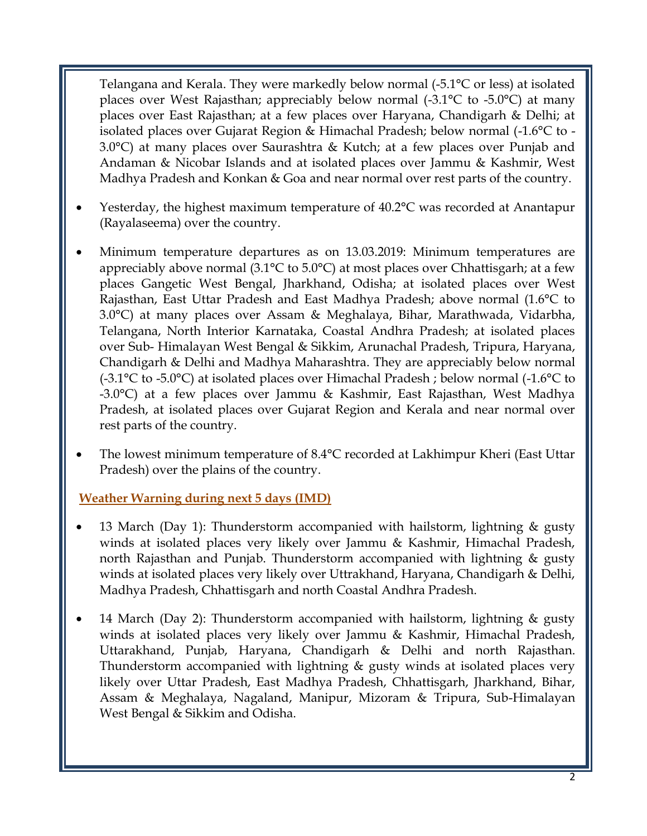Telangana and Kerala. They were markedly below normal (-5.1°C or less) at isolated places over West Rajasthan; appreciably below normal (-3.1°C to -5.0°C) at many places over East Rajasthan; at a few places over Haryana, Chandigarh & Delhi; at isolated places over Gujarat Region & Himachal Pradesh; below normal (-1.6°C to - 3.0°C) at many places over Saurashtra & Kutch; at a few places over Punjab and Andaman & Nicobar Islands and at isolated places over Jammu & Kashmir, West Madhya Pradesh and Konkan & Goa and near normal over rest parts of the country.

- Yesterday, the highest maximum temperature of 40.2°C was recorded at Anantapur (Rayalaseema) over the country.
- Minimum temperature departures as on 13.03.2019: Minimum temperatures are appreciably above normal (3.1°C to 5.0°C) at most places over Chhattisgarh; at a few places Gangetic West Bengal, Jharkhand, Odisha; at isolated places over West Rajasthan, East Uttar Pradesh and East Madhya Pradesh; above normal (1.6°C to 3.0°C) at many places over Assam & Meghalaya, Bihar, Marathwada, Vidarbha, Telangana, North Interior Karnataka, Coastal Andhra Pradesh; at isolated places over Sub- Himalayan West Bengal & Sikkim, Arunachal Pradesh, Tripura, Haryana, Chandigarh & Delhi and Madhya Maharashtra. They are appreciably below normal (-3.1°C to -5.0°C) at isolated places over Himachal Pradesh ; below normal (-1.6°C to -3.0°C) at a few places over Jammu & Kashmir, East Rajasthan, West Madhya Pradesh, at isolated places over Gujarat Region and Kerala and near normal over rest parts of the country.
- The lowest minimum temperature of 8.4°C recorded at Lakhimpur Kheri (East Uttar Pradesh) over the plains of the country.

#### **Weather Warning during next 5 days (IMD)**

- 13 March (Day 1): Thunderstorm accompanied with hailstorm, lightning & gusty winds at isolated places very likely over Jammu & Kashmir, Himachal Pradesh, north Rajasthan and Punjab. Thunderstorm accompanied with lightning & gusty winds at isolated places very likely over Uttrakhand, Haryana, Chandigarh & Delhi, Madhya Pradesh, Chhattisgarh and north Coastal Andhra Pradesh.
- 14 March (Day 2): Thunderstorm accompanied with hailstorm, lightning & gusty winds at isolated places very likely over Jammu & Kashmir, Himachal Pradesh, Uttarakhand, Punjab, Haryana, Chandigarh & Delhi and north Rajasthan. Thunderstorm accompanied with lightning & gusty winds at isolated places very likely over Uttar Pradesh, East Madhya Pradesh, Chhattisgarh, Jharkhand, Bihar, Assam & Meghalaya, Nagaland, Manipur, Mizoram & Tripura, Sub-Himalayan West Bengal & Sikkim and Odisha.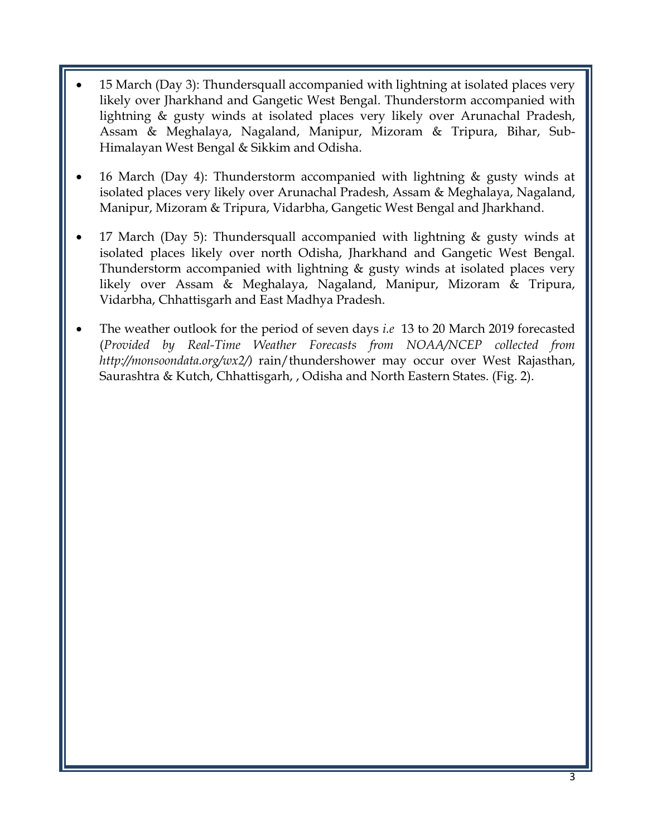- 15 March (Day 3): Thundersquall accompanied with lightning at isolated places very likely over Jharkhand and Gangetic West Bengal. Thunderstorm accompanied with lightning & gusty winds at isolated places very likely over Arunachal Pradesh, Assam & Meghalaya, Nagaland, Manipur, Mizoram & Tripura, Bihar, Sub-Himalayan West Bengal & Sikkim and Odisha.
- 16 March (Day 4): Thunderstorm accompanied with lightning & gusty winds at isolated places very likely over Arunachal Pradesh, Assam & Meghalaya, Nagaland, Manipur, Mizoram & Tripura, Vidarbha, Gangetic West Bengal and Jharkhand.
- 17 March (Day 5): Thundersquall accompanied with lightning & gusty winds at isolated places likely over north Odisha, Jharkhand and Gangetic West Bengal. Thunderstorm accompanied with lightning  $\&$  gusty winds at isolated places very likely over Assam & Meghalaya, Nagaland, Manipur, Mizoram & Tripura, Vidarbha, Chhattisgarh and East Madhya Pradesh.
- The weather outlook for the period of seven days *i.e* 13 to 20 March 2019 forecasted (*Provided by Real-Time Weather Forecasts from NOAA/NCEP collected from http://monsoondata.org/wx2/)* rain/thundershower may occur over West Rajasthan, Saurashtra & Kutch, Chhattisgarh, , Odisha and North Eastern States. (Fig. 2).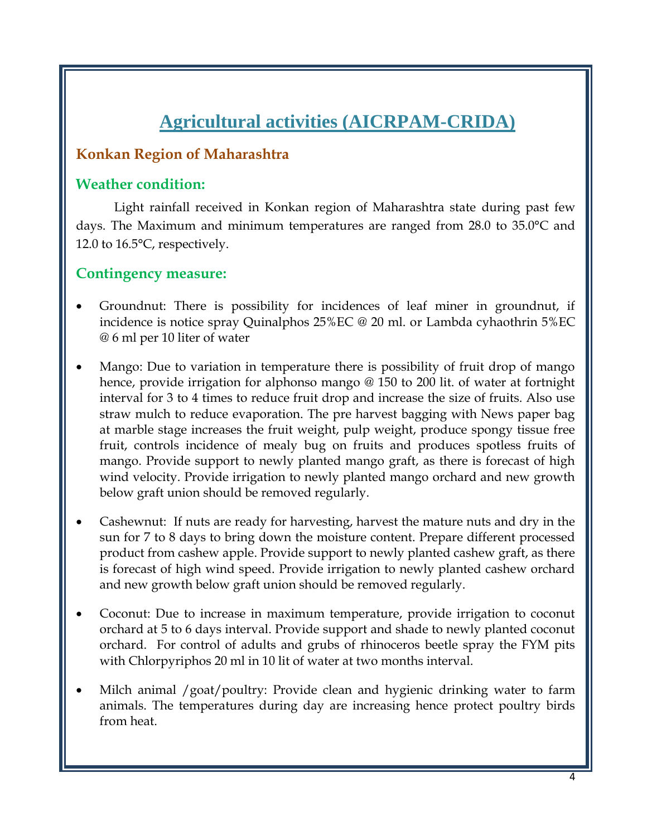# **Agricultural activities (AICRPAM-CRIDA)**

## **Konkan Region of Maharashtra**

#### **Weather condition:**

Light rainfall received in Konkan region of Maharashtra state during past few days. The Maximum and minimum temperatures are ranged from 28.0 to 35.0°C and 12.0 to 16.5°C, respectively.

## **Contingency measure:**

- Groundnut: There is possibility for incidences of leaf miner in groundnut, if incidence is notice spray Quinalphos 25%EC @ 20 ml. or Lambda cyhaothrin 5%EC @ 6 ml per 10 liter of water
- Mango: Due to variation in temperature there is possibility of fruit drop of mango hence, provide irrigation for alphonso mango @ 150 to 200 lit. of water at fortnight interval for 3 to 4 times to reduce fruit drop and increase the size of fruits. Also use straw mulch to reduce evaporation. The pre harvest bagging with News paper bag at marble stage increases the fruit weight, pulp weight, produce spongy tissue free fruit, controls incidence of mealy bug on fruits and produces spotless fruits of mango. Provide support to newly planted mango graft, as there is forecast of high wind velocity. Provide irrigation to newly planted mango orchard and new growth below graft union should be removed regularly.
- Cashewnut: If nuts are ready for harvesting, harvest the mature nuts and dry in the sun for 7 to 8 days to bring down the moisture content. Prepare different processed product from cashew apple. Provide support to newly planted cashew graft, as there is forecast of high wind speed. Provide irrigation to newly planted cashew orchard and new growth below graft union should be removed regularly.
- Coconut: Due to increase in maximum temperature, provide irrigation to coconut orchard at 5 to 6 days interval. Provide support and shade to newly planted coconut orchard. For control of adults and grubs of rhinoceros beetle spray the FYM pits with Chlorpyriphos 20 ml in 10 lit of water at two months interval.
- Milch animal /goat/poultry: Provide clean and hygienic drinking water to farm animals. The temperatures during day are increasing hence protect poultry birds from heat.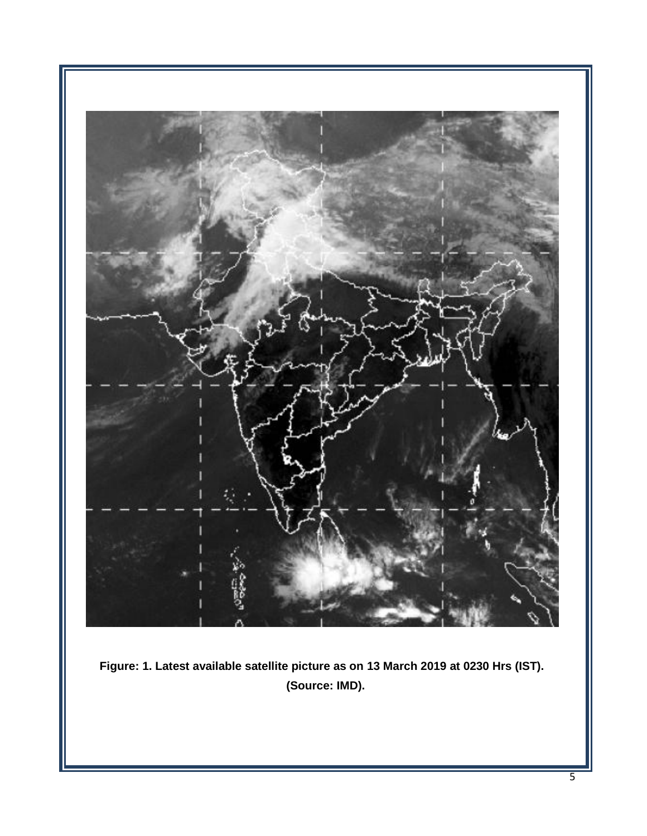